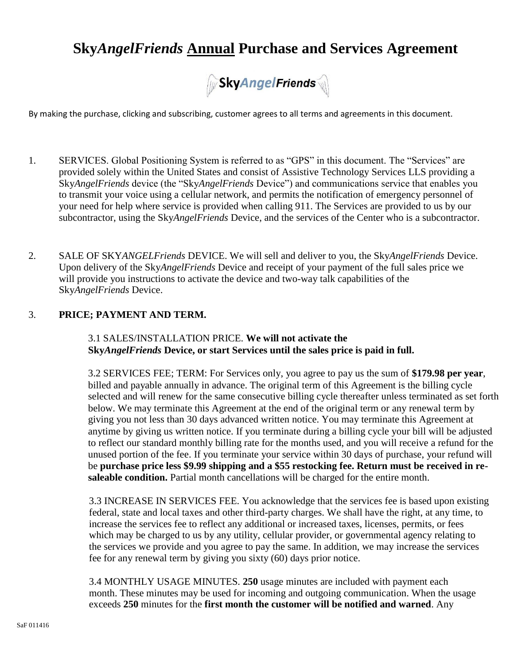# **Sky***AngelFriends* **Annual Purchase and Services Agreement**



By making the purchase, clicking and subscribing, customer agrees to all terms and agreements in this document.

- 1. SERVICES. Global Positioning System is referred to as "GPS" in this document. The "Services" are provided solely within the United States and consist of Assistive Technology Services LLS providing a Sky*AngelFriends* device (the "Sky*AngelFriends* Device") and communications service that enables you to transmit your voice using a cellular network, and permits the notification of emergency personnel of your need for help where service is provided when calling 911. The Services are provided to us by our subcontractor, using the Sky*AngelFriends* Device, and the services of the Center who is a subcontractor.
- 2. SALE OF SKY*ANGELFriends* DEVICE. We will sell and deliver to you, the Sky*AngelFriends* Device. Upon delivery of the Sky*AngelFriends* Device and receipt of your payment of the full sales price we will provide you instructions to activate the device and two-way talk capabilities of the Sky*AngelFriends* Device.

### 3. **PRICE; PAYMENT AND TERM.**

3.1 SALES/INSTALLATION PRICE. **We will not activate the Sky***AngelFriends* **Device, or start Services until the sales price is paid in full.**

3.2 SERVICES FEE; TERM: For Services only, you agree to pay us the sum of **\$179.98 per year**, billed and payable annually in advance. The original term of this Agreement is the billing cycle selected and will renew for the same consecutive billing cycle thereafter unless terminated as set forth below. We may terminate this Agreement at the end of the original term or any renewal term by giving you not less than 30 days advanced written notice. You may terminate this Agreement at anytime by giving us written notice. If you terminate during a billing cycle your bill will be adjusted to reflect our standard monthly billing rate for the months used, and you will receive a refund for the unused portion of the fee. If you terminate your service within 30 days of purchase, your refund will be **purchase price less \$9.99 shipping and a \$55 restocking fee. Return must be received in resaleable condition.** Partial month cancellations will be charged for the entire month.

3.3 INCREASE IN SERVICES FEE. You acknowledge that the services fee is based upon existing federal, state and local taxes and other third-party charges. We shall have the right, at any time, to increase the services fee to reflect any additional or increased taxes, licenses, permits, or fees which may be charged to us by any utility, cellular provider, or governmental agency relating to the services we provide and you agree to pay the same. In addition, we may increase the services fee for any renewal term by giving you sixty (60) days prior notice.

3.4 MONTHLY USAGE MINUTES. **250** usage minutes are included with payment each month. These minutes may be used for incoming and outgoing communication. When the usage exceeds **250** minutes for the **first month the customer will be notified and warned**. Any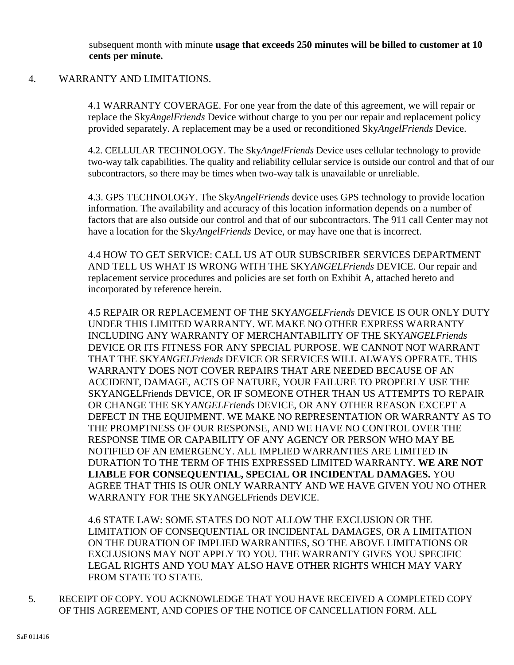subsequent month with minute **usage that exceeds 250 minutes will be billed to customer at 10 cents per minute.**

### 4. WARRANTY AND LIMITATIONS.

4.1 WARRANTY COVERAGE. For one year from the date of this agreement, we will repair or replace the Sky*AngelFriends* Device without charge to you per our repair and replacement policy provided separately. A replacement may be a used or reconditioned Sky*AngelFriends* Device.

4.2. CELLULAR TECHNOLOGY. The Sky*AngelFriends* Device uses cellular technology to provide two-way talk capabilities. The quality and reliability cellular service is outside our control and that of our subcontractors, so there may be times when two-way talk is unavailable or unreliable.

4.3. GPS TECHNOLOGY. The Sky*AngelFriends* device uses GPS technology to provide location information. The availability and accuracy of this location information depends on a number of factors that are also outside our control and that of our subcontractors. The 911 call Center may not have a location for the Sky*AngelFriends* Device, or may have one that is incorrect.

4.4 HOW TO GET SERVICE: CALL US AT OUR SUBSCRIBER SERVICES DEPARTMENT AND TELL US WHAT IS WRONG WITH THE SKY*ANGELFriends* DEVICE. Our repair and replacement service procedures and policies are set forth on Exhibit A, attached hereto and incorporated by reference herein.

4.5 REPAIR OR REPLACEMENT OF THE SKY*ANGELFriends* DEVICE IS OUR ONLY DUTY UNDER THIS LIMITED WARRANTY. WE MAKE NO OTHER EXPRESS WARRANTY INCLUDING ANY WARRANTY OF MERCHANTABILITY OF THE SKY*ANGELFriends* DEVICE OR ITS FITNESS FOR ANY SPECIAL PURPOSE. WE CANNOT NOT WARRANT THAT THE SKY*ANGELFriends* DEVICE OR SERVICES WILL ALWAYS OPERATE. THIS WARRANTY DOES NOT COVER REPAIRS THAT ARE NEEDED BECAUSE OF AN ACCIDENT, DAMAGE, ACTS OF NATURE, YOUR FAILURE TO PROPERLY USE THE SKYANGELFriends DEVICE, OR IF SOMEONE OTHER THAN US ATTEMPTS TO REPAIR OR CHANGE THE SKY*ANGELFriends* DEVICE, OR ANY OTHER REASON EXCEPT A DEFECT IN THE EQUIPMENT. WE MAKE NO REPRESENTATION OR WARRANTY AS TO THE PROMPTNESS OF OUR RESPONSE, AND WE HAVE NO CONTROL OVER THE RESPONSE TIME OR CAPABILITY OF ANY AGENCY OR PERSON WHO MAY BE NOTIFIED OF AN EMERGENCY. ALL IMPLIED WARRANTIES ARE LIMITED IN DURATION TO THE TERM OF THIS EXPRESSED LIMITED WARRANTY. **WE ARE NOT LIABLE FOR CONSEQUENTIAL, SPECIAL OR INCIDENTAL DAMAGES.** YOU AGREE THAT THIS IS OUR ONLY WARRANTY AND WE HAVE GIVEN YOU NO OTHER WARRANTY FOR THE SKYANGELFriends DEVICE.

4.6 STATE LAW: SOME STATES DO NOT ALLOW THE EXCLUSION OR THE LIMITATION OF CONSEQUENTIAL OR INCIDENTAL DAMAGES, OR A LIMITATION ON THE DURATION OF IMPLIED WARRANTIES, SO THE ABOVE LIMITATIONS OR EXCLUSIONS MAY NOT APPLY TO YOU. THE WARRANTY GIVES YOU SPECIFIC LEGAL RIGHTS AND YOU MAY ALSO HAVE OTHER RIGHTS WHICH MAY VARY FROM STATE TO STATE.

5. RECEIPT OF COPY. YOU ACKNOWLEDGE THAT YOU HAVE RECEIVED A COMPLETED COPY OF THIS AGREEMENT, AND COPIES OF THE NOTICE OF CANCELLATION FORM. ALL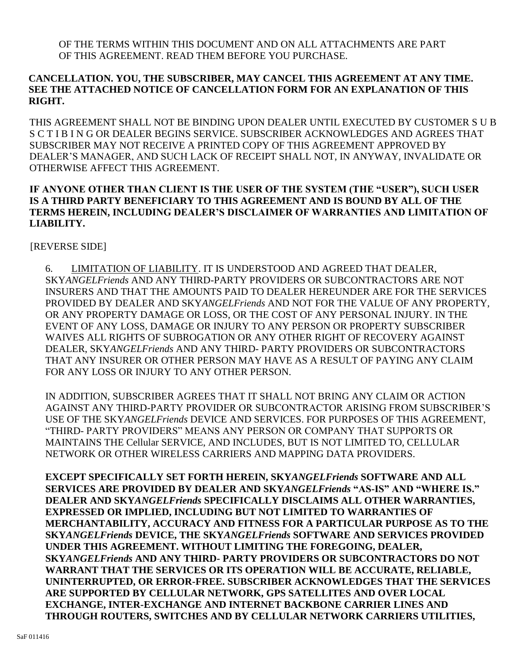OF THE TERMS WITHIN THIS DOCUMENT AND ON ALL ATTACHMENTS ARE PART OF THIS AGREEMENT. READ THEM BEFORE YOU PURCHASE.

# **CANCELLATION. YOU, THE SUBSCRIBER, MAY CANCEL THIS AGREEMENT AT ANY TIME. SEE THE ATTACHED NOTICE OF CANCELLATION FORM FOR AN EXPLANATION OF THIS RIGHT.**

THIS AGREEMENT SHALL NOT BE BINDING UPON DEALER UNTIL EXECUTED BY CUSTOMER S U B S C T I B I N G OR DEALER BEGINS SERVICE. SUBSCRIBER ACKNOWLEDGES AND AGREES THAT SUBSCRIBER MAY NOT RECEIVE A PRINTED COPY OF THIS AGREEMENT APPROVED BY DEALER'S MANAGER, AND SUCH LACK OF RECEIPT SHALL NOT, IN ANYWAY, INVALIDATE OR OTHERWISE AFFECT THIS AGREEMENT.

# **IF ANYONE OTHER THAN CLIENT IS THE USER OF THE SYSTEM (THE "USER"), SUCH USER IS A THIRD PARTY BENEFICIARY TO THIS AGREEMENT AND IS BOUND BY ALL OF THE TERMS HEREIN, INCLUDING DEALER'S DISCLAIMER OF WARRANTIES AND LIMITATION OF LIABILITY.**

[REVERSE SIDE]

6. LIMITATION OF LIABILITY. IT IS UNDERSTOOD AND AGREED THAT DEALER, SKY*ANGELFriends* AND ANY THIRD-PARTY PROVIDERS OR SUBCONTRACTORS ARE NOT INSURERS AND THAT THE AMOUNTS PAID TO DEALER HEREUNDER ARE FOR THE SERVICES PROVIDED BY DEALER AND SKY*ANGELFriends* AND NOT FOR THE VALUE OF ANY PROPERTY, OR ANY PROPERTY DAMAGE OR LOSS, OR THE COST OF ANY PERSONAL INJURY. IN THE EVENT OF ANY LOSS, DAMAGE OR INJURY TO ANY PERSON OR PROPERTY SUBSCRIBER WAIVES ALL RIGHTS OF SUBROGATION OR ANY OTHER RIGHT OF RECOVERY AGAINST DEALER, SKY*ANGELFriends* AND ANY THIRD- PARTY PROVIDERS OR SUBCONTRACTORS THAT ANY INSURER OR OTHER PERSON MAY HAVE AS A RESULT OF PAYING ANY CLAIM FOR ANY LOSS OR INJURY TO ANY OTHER PERSON.

IN ADDITION, SUBSCRIBER AGREES THAT IT SHALL NOT BRING ANY CLAIM OR ACTION AGAINST ANY THIRD-PARTY PROVIDER OR SUBCONTRACTOR ARISING FROM SUBSCRIBER'S USE OF THE SKY*ANGELFriends* DEVICE AND SERVICES. FOR PURPOSES OF THIS AGREEMENT, "THIRD- PARTY PROVIDERS" MEANS ANY PERSON OR COMPANY THAT SUPPORTS OR MAINTAINS THE Cellular SERVICE, AND INCLUDES, BUT IS NOT LIMITED TO, CELLULAR NETWORK OR OTHER WIRELESS CARRIERS AND MAPPING DATA PROVIDERS.

**EXCEPT SPECIFICALLY SET FORTH HEREIN, SKY***ANGELFriends* **SOFTWARE AND ALL SERVICES ARE PROVIDED BY DEALER AND SKY***ANGELFriends* **"AS-IS" AND "WHERE IS." DEALER AND SKY***ANGELFriends* **SPECIFICALLY DISCLAIMS ALL OTHER WARRANTIES, EXPRESSED OR IMPLIED, INCLUDING BUT NOT LIMITED TO WARRANTIES OF MERCHANTABILITY, ACCURACY AND FITNESS FOR A PARTICULAR PURPOSE AS TO THE SKY***ANGELFriends* **DEVICE, THE SKY***ANGELFriends* **SOFTWARE AND SERVICES PROVIDED UNDER THIS AGREEMENT. WITHOUT LIMITING THE FOREGOING, DEALER, SKY***ANGELFriends* **AND ANY THIRD- PARTY PROVIDERS OR SUBCONTRACTORS DO NOT WARRANT THAT THE SERVICES OR ITS OPERATION WILL BE ACCURATE, RELIABLE, UNINTERRUPTED, OR ERROR-FREE. SUBSCRIBER ACKNOWLEDGES THAT THE SERVICES ARE SUPPORTED BY CELLULAR NETWORK, GPS SATELLITES AND OVER LOCAL EXCHANGE, INTER-EXCHANGE AND INTERNET BACKBONE CARRIER LINES AND THROUGH ROUTERS, SWITCHES AND BY CELLULAR NETWORK CARRIERS UTILITIES,**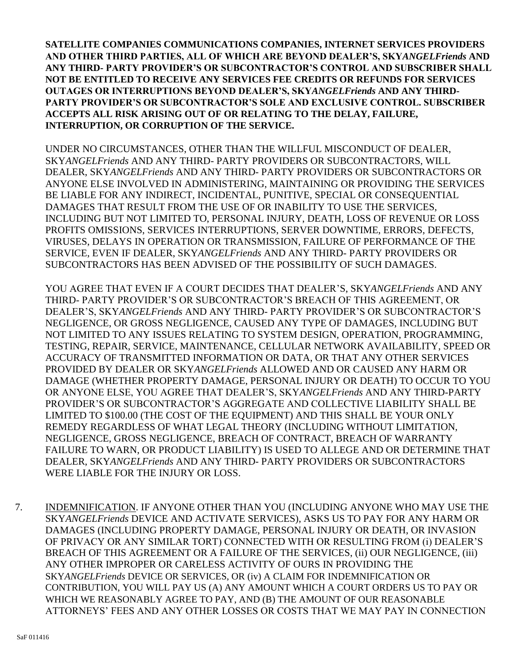**SATELLITE COMPANIES COMMUNICATIONS COMPANIES, INTERNET SERVICES PROVIDERS AND OTHER THIRD PARTIES, ALL OF WHICH ARE BEYOND DEALER'S, SKY***ANGELFriends* **AND ANY THIRD- PARTY PROVIDER'S OR SUBCONTRACTOR'S CONTROL AND SUBSCRIBER SHALL NOT BE ENTITLED TO RECEIVE ANY SERVICES FEE CREDITS OR REFUNDS FOR SERVICES OUTAGES OR INTERRUPTIONS BEYOND DEALER'S, SKY***ANGELFriends* **AND ANY THIRD-PARTY PROVIDER'S OR SUBCONTRACTOR'S SOLE AND EXCLUSIVE CONTROL. SUBSCRIBER ACCEPTS ALL RISK ARISING OUT OF OR RELATING TO THE DELAY, FAILURE, INTERRUPTION, OR CORRUPTION OF THE SERVICE.**

UNDER NO CIRCUMSTANCES, OTHER THAN THE WILLFUL MISCONDUCT OF DEALER, SKY*ANGELFriends* AND ANY THIRD- PARTY PROVIDERS OR SUBCONTRACTORS, WILL DEALER, SKY*ANGELFriends* AND ANY THIRD- PARTY PROVIDERS OR SUBCONTRACTORS OR ANYONE ELSE INVOLVED IN ADMINISTERING, MAINTAINING OR PROVIDING THE SERVICES BE LIABLE FOR ANY INDIRECT, INCIDENTAL, PUNITIVE, SPECIAL OR CONSEQUENTIAL DAMAGES THAT RESULT FROM THE USE OF OR INABILITY TO USE THE SERVICES, INCLUDING BUT NOT LIMITED TO, PERSONAL INJURY, DEATH, LOSS OF REVENUE OR LOSS PROFITS OMISSIONS, SERVICES INTERRUPTIONS, SERVER DOWNTIME, ERRORS, DEFECTS, VIRUSES, DELAYS IN OPERATION OR TRANSMISSION, FAILURE OF PERFORMANCE OF THE SERVICE, EVEN IF DEALER, SKY*ANGELFriends* AND ANY THIRD- PARTY PROVIDERS OR SUBCONTRACTORS HAS BEEN ADVISED OF THE POSSIBILITY OF SUCH DAMAGES.

YOU AGREE THAT EVEN IF A COURT DECIDES THAT DEALER'S, SKY*ANGELFriends* AND ANY THIRD- PARTY PROVIDER'S OR SUBCONTRACTOR'S BREACH OF THIS AGREEMENT, OR DEALER'S, SKY*ANGELFriends* AND ANY THIRD- PARTY PROVIDER'S OR SUBCONTRACTOR'S NEGLIGENCE, OR GROSS NEGLIGENCE, CAUSED ANY TYPE OF DAMAGES, INCLUDING BUT NOT LIMITED TO ANY ISSUES RELATING TO SYSTEM DESIGN, OPERATION, PROGRAMMING, TESTING, REPAIR, SERVICE, MAINTENANCE, CELLULAR NETWORK AVAILABILITY, SPEED OR ACCURACY OF TRANSMITTED INFORMATION OR DATA, OR THAT ANY OTHER SERVICES PROVIDED BY DEALER OR SKY*ANGELFriends* ALLOWED AND OR CAUSED ANY HARM OR DAMAGE (WHETHER PROPERTY DAMAGE, PERSONAL INJURY OR DEATH) TO OCCUR TO YOU OR ANYONE ELSE, YOU AGREE THAT DEALER'S, SKY*ANGELFriends* AND ANY THIRD-PARTY PROVIDER'S OR SUBCONTRACTOR'S AGGREGATE AND COLLECTIVE LIABILITY SHALL BE LIMITED TO \$100.00 (THE COST OF THE EQUIPMENT) AND THIS SHALL BE YOUR ONLY REMEDY REGARDLESS OF WHAT LEGAL THEORY (INCLUDING WITHOUT LIMITATION, NEGLIGENCE, GROSS NEGLIGENCE, BREACH OF CONTRACT, BREACH OF WARRANTY FAILURE TO WARN, OR PRODUCT LIABILITY) IS USED TO ALLEGE AND OR DETERMINE THAT DEALER, SKY*ANGELFriends* AND ANY THIRD- PARTY PROVIDERS OR SUBCONTRACTORS WERE LIABLE FOR THE INJURY OR LOSS.

7. INDEMNIFICATION. IF ANYONE OTHER THAN YOU (INCLUDING ANYONE WHO MAY USE THE SKY*ANGELFriends* DEVICE AND ACTIVATE SERVICES), ASKS US TO PAY FOR ANY HARM OR DAMAGES (INCLUDING PROPERTY DAMAGE, PERSONAL INJURY OR DEATH, OR INVASION OF PRIVACY OR ANY SIMILAR TORT) CONNECTED WITH OR RESULTING FROM (i) DEALER'S BREACH OF THIS AGREEMENT OR A FAILURE OF THE SERVICES, (ii) OUR NEGLIGENCE, (iii) ANY OTHER IMPROPER OR CARELESS ACTIVITY OF OURS IN PROVIDING THE SKY*ANGELFriends* DEVICE OR SERVICES, OR (iv) A CLAIM FOR INDEMNIFICATION OR CONTRIBUTION, YOU WILL PAY US (A) ANY AMOUNT WHICH A COURT ORDERS US TO PAY OR WHICH WE REASONABLY AGREE TO PAY, AND (B) THE AMOUNT OF OUR REASONABLE ATTORNEYS' FEES AND ANY OTHER LOSSES OR COSTS THAT WE MAY PAY IN CONNECTION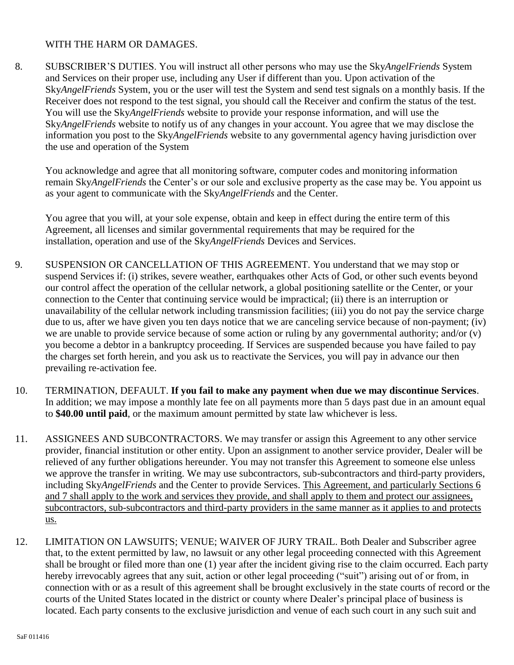### WITH THE HARM OR DAMAGES.

8. SUBSCRIBER'S DUTIES. You will instruct all other persons who may use the Sky*AngelFriends* System and Services on their proper use, including any User if different than you. Upon activation of the Sky*AngelFriends* System, you or the user will test the System and send test signals on a monthly basis. If the Receiver does not respond to the test signal, you should call the Receiver and confirm the status of the test. You will use the Sky*AngelFriends* website to provide your response information, and will use the Sky*AngelFriends* website to notify us of any changes in your account. You agree that we may disclose the information you post to the Sky*AngelFriends* website to any governmental agency having jurisdiction over the use and operation of the System

You acknowledge and agree that all monitoring software, computer codes and monitoring information remain Sky*AngelFriends* the Center's or our sole and exclusive property as the case may be. You appoint us as your agent to communicate with the Sky*AngelFriends* and the Center.

You agree that you will, at your sole expense, obtain and keep in effect during the entire term of this Agreement, all licenses and similar governmental requirements that may be required for the installation, operation and use of the Sky*AngelFriends* Devices and Services.

- 9. SUSPENSION OR CANCELLATION OF THIS AGREEMENT. You understand that we may stop or suspend Services if: (i) strikes, severe weather, earthquakes other Acts of God, or other such events beyond our control affect the operation of the cellular network, a global positioning satellite or the Center, or your connection to the Center that continuing service would be impractical; (ii) there is an interruption or unavailability of the cellular network including transmission facilities; (iii) you do not pay the service charge due to us, after we have given you ten days notice that we are canceling service because of non-payment; (iv) we are unable to provide service because of some action or ruling by any governmental authority; and/or (v) you become a debtor in a bankruptcy proceeding. If Services are suspended because you have failed to pay the charges set forth herein, and you ask us to reactivate the Services, you will pay in advance our then prevailing re-activation fee.
- 10. TERMINATION, DEFAULT. **If you fail to make any payment when due we may discontinue Services**. In addition; we may impose a monthly late fee on all payments more than 5 days past due in an amount equal to **\$40.00 until paid**, or the maximum amount permitted by state law whichever is less.
- 11. ASSIGNEES AND SUBCONTRACTORS. We may transfer or assign this Agreement to any other service provider, financial institution or other entity. Upon an assignment to another service provider, Dealer will be relieved of any further obligations hereunder. You may not transfer this Agreement to someone else unless we approve the transfer in writing. We may use subcontractors, sub-subcontractors and third-party providers, including Sky*AngelFriends* and the Center to provide Services. This Agreement, and particularly Sections 6 and 7 shall apply to the work and services they provide, and shall apply to them and protect our assignees, subcontractors, sub-subcontractors and third-party providers in the same manner as it applies to and protects us.
- 12. LIMITATION ON LAWSUITS; VENUE; WAIVER OF JURY TRAIL. Both Dealer and Subscriber agree that, to the extent permitted by law, no lawsuit or any other legal proceeding connected with this Agreement shall be brought or filed more than one (1) year after the incident giving rise to the claim occurred. Each party hereby irrevocably agrees that any suit, action or other legal proceeding ("suit") arising out of or from, in connection with or as a result of this agreement shall be brought exclusively in the state courts of record or the courts of the United States located in the district or county where Dealer's principal place of business is located. Each party consents to the exclusive jurisdiction and venue of each such court in any such suit and